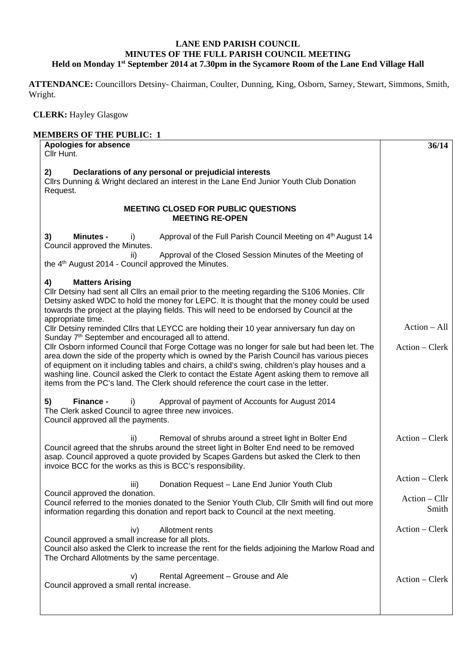## **LANE END PARISH COUNCIL MINUTES OF THE FULL PARISH COUNCIL MEETING Held on Monday 1st September 2014 at 7.30pm in the Sycamore Room of the Lane End Village Hall**

**ATTENDANCE:** Councillors Detsiny- Chairman, Coulter, Dunning, King, Osborn, Sarney, Stewart, Simmons, Smith, Wright.

 **CLERK:** Hayley Glasgow

| <b>Apologies for absence</b><br>Cllr Hunt.                                                                                                                                                                                                                                                                                                                                                                                                                                                                                                         | 36/14                    |
|----------------------------------------------------------------------------------------------------------------------------------------------------------------------------------------------------------------------------------------------------------------------------------------------------------------------------------------------------------------------------------------------------------------------------------------------------------------------------------------------------------------------------------------------------|--------------------------|
| Declarations of any personal or prejudicial interests<br>2)<br>Cllrs Dunning & Wright declared an interest in the Lane End Junior Youth Club Donation<br>Request.                                                                                                                                                                                                                                                                                                                                                                                  |                          |
| <b>MEETING CLOSED FOR PUBLIC QUESTIONS</b><br><b>MEETING RE-OPEN</b>                                                                                                                                                                                                                                                                                                                                                                                                                                                                               |                          |
| Approval of the Full Parish Council Meeting on 4 <sup>th</sup> August 14<br>3)<br><b>Minutes -</b><br>I)<br>Council approved the Minutes.<br>Approval of the Closed Session Minutes of the Meeting of<br>ii)<br>the 4 <sup>th</sup> August 2014 - Council approved the Minutes.                                                                                                                                                                                                                                                                    |                          |
| <b>Matters Arising</b><br>4)<br>Cllr Detsiny had sent all Cllrs an email prior to the meeting regarding the S106 Monies. Cllr<br>Detsiny asked WDC to hold the money for LEPC. It is thought that the money could be used<br>towards the project at the playing fields. This will need to be endorsed by Council at the                                                                                                                                                                                                                            |                          |
| appropriate time.<br>Cllr Detsiny reminded Cllrs that LEYCC are holding their 10 year anniversary fun day on                                                                                                                                                                                                                                                                                                                                                                                                                                       | $Action - All$           |
| Sunday 7 <sup>th</sup> September and encouraged all to attend.<br>Cllr Osborn informed Council that Forge Cottage was no longer for sale but had been let. The<br>area down the side of the property which is owned by the Parish Council has various pieces<br>of equipment on it including tables and chairs, a child's swing, children's play houses and a<br>washing line. Council asked the Clerk to contact the Estate Agent asking them to remove all<br>items from the PC's land. The Clerk should reference the court case in the letter. | $Action - Clerk$         |
| Approval of payment of Accounts for August 2014<br>5)<br>Finance -<br>i)<br>The Clerk asked Council to agree three new invoices.<br>Council approved all the payments.                                                                                                                                                                                                                                                                                                                                                                             |                          |
| Removal of shrubs around a street light in Bolter End<br>ii)<br>Council agreed that the shrubs around the street light in Bolter End need to be removed<br>asap. Council approved a quote provided by Scapes Gardens but asked the Clerk to then<br>invoice BCC for the works as this is BCC's responsibility.                                                                                                                                                                                                                                     | Action – Clerk           |
| Donation Request - Lane End Junior Youth Club<br>iii)                                                                                                                                                                                                                                                                                                                                                                                                                                                                                              | Action – Clerk           |
| Council approved the donation.<br>Council referred to the monies donated to the Senior Youth Club, Cllr Smith will find out more<br>information regarding this donation and report back to Council at the next meeting.                                                                                                                                                                                                                                                                                                                            | $Action - Cllr$<br>Smith |
| Allotment rents<br>iv)<br>Council approved a small increase for all plots.<br>Council also asked the Clerk to increase the rent for the fields adjoining the Marlow Road and<br>The Orchard Allotments by the same percentage.                                                                                                                                                                                                                                                                                                                     | $Action - Clerk$         |
| Rental Agreement - Grouse and Ale<br>V)<br>Council approved a small rental increase.                                                                                                                                                                                                                                                                                                                                                                                                                                                               | $Action - Clerk$         |
|                                                                                                                                                                                                                                                                                                                                                                                                                                                                                                                                                    |                          |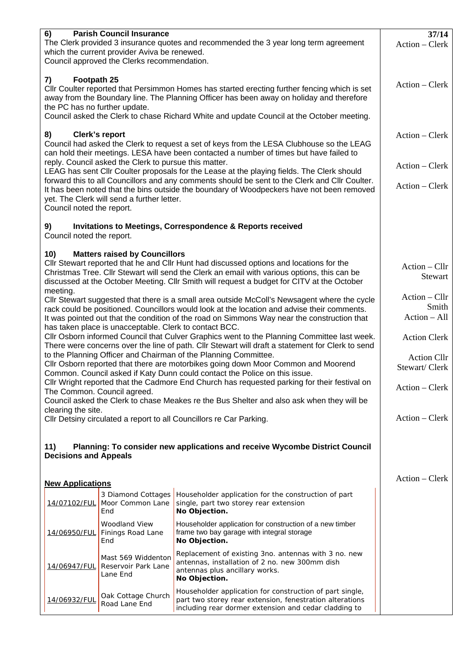| 6)                                                                                               | <b>Parish Council Insurance</b>                                                      |                                                                                                                                                                                             | 37/14               |
|--------------------------------------------------------------------------------------------------|--------------------------------------------------------------------------------------|---------------------------------------------------------------------------------------------------------------------------------------------------------------------------------------------|---------------------|
|                                                                                                  | The Clerk provided 3 insurance quotes and recommended the 3 year long term agreement | Action – Clerk                                                                                                                                                                              |                     |
|                                                                                                  | which the current provider Aviva be renewed.                                         |                                                                                                                                                                                             |                     |
|                                                                                                  | Council approved the Clerks recommendation.                                          |                                                                                                                                                                                             |                     |
| Footpath 25<br>7)                                                                                |                                                                                      |                                                                                                                                                                                             |                     |
|                                                                                                  |                                                                                      | CIIr Coulter reported that Persimmon Homes has started erecting further fencing which is set                                                                                                | Action – Clerk      |
|                                                                                                  |                                                                                      | away from the Boundary line. The Planning Officer has been away on holiday and therefore                                                                                                    |                     |
| the PC has no further update.                                                                    |                                                                                      |                                                                                                                                                                                             |                     |
|                                                                                                  |                                                                                      | Council asked the Clerk to chase Richard White and update Council at the October meeting.                                                                                                   |                     |
| 8)                                                                                               | Clerk's report                                                                       |                                                                                                                                                                                             | Action – Clerk      |
|                                                                                                  |                                                                                      | Council had asked the Clerk to request a set of keys from the LESA Clubhouse so the LEAG                                                                                                    |                     |
|                                                                                                  |                                                                                      | can hold their meetings. LESA have been contacted a number of times but have failed to                                                                                                      |                     |
|                                                                                                  | reply. Council asked the Clerk to pursue this matter.                                |                                                                                                                                                                                             | Action - Clerk      |
|                                                                                                  |                                                                                      | LEAG has sent Cllr Coulter proposals for the Lease at the playing fields. The Clerk should                                                                                                  |                     |
|                                                                                                  |                                                                                      | forward this to all Councillors and any comments should be sent to the Clerk and Cllr Coulter.<br>It has been noted that the bins outside the boundary of Woodpeckers have not been removed | Action – Clerk      |
|                                                                                                  | yet. The Clerk will send a further letter.                                           |                                                                                                                                                                                             |                     |
| Council noted the report.                                                                        |                                                                                      |                                                                                                                                                                                             |                     |
|                                                                                                  |                                                                                      |                                                                                                                                                                                             |                     |
| 9)                                                                                               |                                                                                      | <b>Invitations to Meetings, Correspondence &amp; Reports received</b>                                                                                                                       |                     |
| Council noted the report.                                                                        |                                                                                      |                                                                                                                                                                                             |                     |
| 10)                                                                                              | <b>Matters raised by Councillors</b>                                                 |                                                                                                                                                                                             |                     |
|                                                                                                  |                                                                                      | Cllr Stewart reported that he and Cllr Hunt had discussed options and locations for the                                                                                                     | $Action - Cllr$     |
|                                                                                                  |                                                                                      | Christmas Tree. Cllr Stewart will send the Clerk an email with various options, this can be                                                                                                 | Stewart             |
|                                                                                                  |                                                                                      | discussed at the October Meeting. Cllr Smith will request a budget for CITV at the October                                                                                                  |                     |
| meeting.                                                                                         |                                                                                      |                                                                                                                                                                                             | $Action - Cllr$     |
|                                                                                                  |                                                                                      | CIIr Stewart suggested that there is a small area outside McColl's Newsagent where the cycle<br>rack could be positioned. Councillors would look at the location and advise their comments. | Smith               |
|                                                                                                  |                                                                                      | It was pointed out that the condition of the road on Simmons Way near the construction that                                                                                                 | Action - All        |
|                                                                                                  | has taken place is unacceptable. Clerk to contact BCC.                               |                                                                                                                                                                                             |                     |
|                                                                                                  |                                                                                      | CIIr Osborn informed Council that Culver Graphics went to the Planning Committee last week.                                                                                                 | <b>Action Clerk</b> |
| There were concerns over the line of path. Cllr Stewart will draft a statement for Clerk to send |                                                                                      |                                                                                                                                                                                             |                     |
|                                                                                                  |                                                                                      | to the Planning Officer and Chairman of the Planning Committee.                                                                                                                             | <b>Action Cllr</b>  |
|                                                                                                  |                                                                                      | Cllr Osborn reported that there are motorbikes going down Moor Common and Moorend                                                                                                           | Stewart/Clerk       |
|                                                                                                  |                                                                                      | Common. Council asked if Katy Dunn could contact the Police on this issue.<br>Cllr Wright reported that the Cadmore End Church has requested parking for their festival on                  |                     |
|                                                                                                  | The Common. Council agreed.                                                          |                                                                                                                                                                                             | Action - Clerk      |
|                                                                                                  |                                                                                      | Council asked the Clerk to chase Meakes re the Bus Shelter and also ask when they will be                                                                                                   |                     |
| clearing the site.                                                                               |                                                                                      |                                                                                                                                                                                             |                     |
|                                                                                                  |                                                                                      | Cllr Detsiny circulated a report to all Councillors re Car Parking.                                                                                                                         | Action – Clerk      |
|                                                                                                  |                                                                                      |                                                                                                                                                                                             |                     |
| 11)                                                                                              |                                                                                      | Planning: To consider new applications and receive Wycombe District Council                                                                                                                 |                     |
| <b>Decisions and Appeals</b>                                                                     |                                                                                      |                                                                                                                                                                                             |                     |
|                                                                                                  |                                                                                      |                                                                                                                                                                                             |                     |
| <b>New Applications</b>                                                                          |                                                                                      |                                                                                                                                                                                             | Action – Clerk      |
|                                                                                                  | 3 Diamond Cottages                                                                   | Householder application for the construction of part                                                                                                                                        |                     |
| 14/07102/FUL                                                                                     | Moor Common Lane                                                                     | single, part two storey rear extension                                                                                                                                                      |                     |
|                                                                                                  | End                                                                                  | No Objection.                                                                                                                                                                               |                     |
|                                                                                                  | Woodland View                                                                        | Householder application for construction of a new timber                                                                                                                                    |                     |
| 14/06950/FUL                                                                                     | Finings Road Lane                                                                    | frame two bay garage with integral storage                                                                                                                                                  |                     |
|                                                                                                  | End                                                                                  | No Objection.                                                                                                                                                                               |                     |
|                                                                                                  | Mast 569 Widdenton                                                                   | Replacement of existing 3no. antennas with 3 no. new                                                                                                                                        |                     |
| <u>14/06947/FUL</u>                                                                              | Reservoir Park Lane                                                                  | antennas, installation of 2 no. new 300mm dish<br>antennas plus ancillary works.                                                                                                            |                     |
|                                                                                                  | Lane End                                                                             | No Objection.                                                                                                                                                                               |                     |
|                                                                                                  |                                                                                      | Householder application for construction of part single,                                                                                                                                    |                     |
| 14/06932/FUL                                                                                     | Oak Cottage Church                                                                   | part two storey rear extension, fenestration alterations                                                                                                                                    |                     |
|                                                                                                  | Road Lane End                                                                        | including rear dormer extension and cedar cladding to                                                                                                                                       |                     |